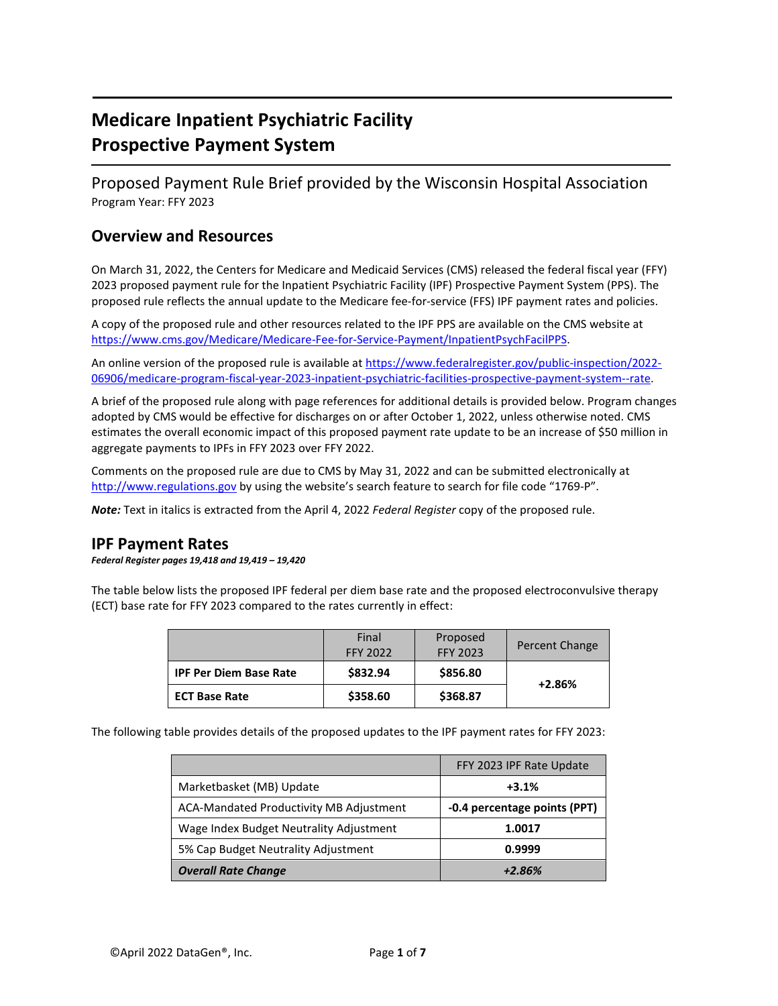# **Medicare Inpatient Psychiatric Facility Prospective Payment System**

Proposed Payment Rule Brief provided by the Wisconsin Hospital Association Program Year: FFY 2023

# **Overview and Resources**

On March 31, 2022, the Centers for Medicare and Medicaid Services (CMS) released the federal fiscal year (FFY) 2023 proposed payment rule for the Inpatient Psychiatric Facility (IPF) Prospective Payment System (PPS). The proposed rule reflects the annual update to the Medicare fee-for-service (FFS) IPF payment rates and policies.

A copy of the proposed rule and other resources related to the IPF PPS are available on the CMS website at [https://www.cms.gov/Medicare/Medicare-Fee-for-Service-Payment/InpatientPsychFacilPPS.](https://www.cms.gov/Medicare/Medicare-Fee-for-Service-Payment/InpatientPsychFacilPPS)

An online version of the proposed rule is available at [https://www.federalregister.gov/public-inspection/2022-](https://www.federalregister.gov/public-inspection/2022-06906/medicare-program-fiscal-year-2023-inpatient-psychiatric-facilities-prospective-payment-system--rate) [06906/medicare-program-fiscal-year-2023-inpatient-psychiatric-facilities-prospective-payment-system--rate.](https://www.federalregister.gov/public-inspection/2022-06906/medicare-program-fiscal-year-2023-inpatient-psychiatric-facilities-prospective-payment-system--rate)

A brief of the proposed rule along with page references for additional details is provided below. Program changes adopted by CMS would be effective for discharges on or after October 1, 2022, unless otherwise noted. CMS estimates the overall economic impact of this proposed payment rate update to be an increase of \$50 million in aggregate payments to IPFs in FFY 2023 over FFY 2022.

Comments on the proposed rule are due to CMS by May 31, 2022 and can be submitted electronically at [http://www.regulations.gov](http://www.regulations.gov/) by using the website's search feature to search for file code "1769-P".

*Note:* Text in italics is extracted from the April 4, 2022 *Federal Register* copy of the proposed rule.

### **IPF Payment Rates**

*Federal Register pages 19,418 and 19,419 – 19,420*

The table below lists the proposed IPF federal per diem base rate and the proposed electroconvulsive therapy (ECT) base rate for FFY 2023 compared to the rates currently in effect:

|                               | Final<br><b>FFY 2022</b> | Proposed<br><b>FFY 2023</b> | Percent Change |
|-------------------------------|--------------------------|-----------------------------|----------------|
| <b>IPF Per Diem Base Rate</b> | \$832.94                 | \$856.80                    | $+2.86%$       |
| <b>ECT Base Rate</b>          | \$358.60                 | \$368.87                    |                |

The following table provides details of the proposed updates to the IPF payment rates for FFY 2023:

|                                                | FFY 2023 IPF Rate Update     |
|------------------------------------------------|------------------------------|
| Marketbasket (MB) Update                       | $+3.1%$                      |
| <b>ACA-Mandated Productivity MB Adjustment</b> | -0.4 percentage points (PPT) |
| Wage Index Budget Neutrality Adjustment        | 1.0017                       |
| 5% Cap Budget Neutrality Adjustment            | 0.9999                       |
| <b>Overall Rate Change</b>                     | $+2.86%$                     |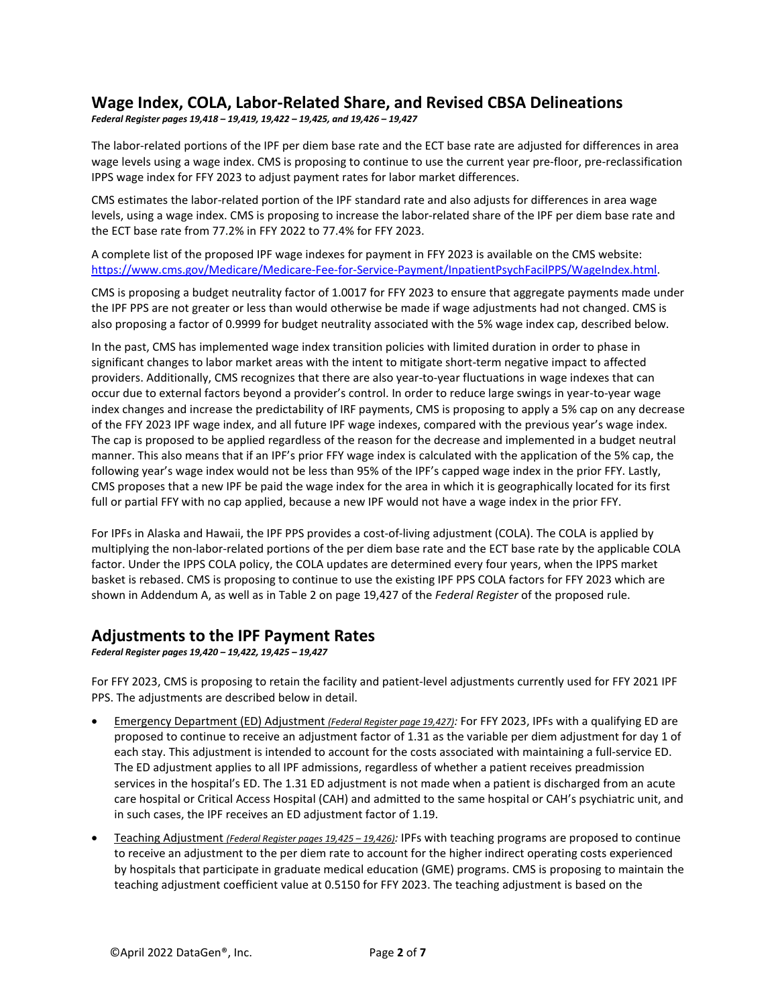### **Wage Index, COLA, Labor-Related Share, and Revised CBSA Delineations**

*Federal Register pages 19,418 – 19,419, 19,422 – 19,425, and 19,426 – 19,427* 

The labor-related portions of the IPF per diem base rate and the ECT base rate are adjusted for differences in area wage levels using a wage index. CMS is proposing to continue to use the current year pre-floor, pre-reclassification IPPS wage index for FFY 2023 to adjust payment rates for labor market differences.

CMS estimates the labor-related portion of the IPF standard rate and also adjusts for differences in area wage levels, using a wage index. CMS is proposing to increase the labor-related share of the IPF per diem base rate and the ECT base rate from 77.2% in FFY 2022 to 77.4% for FFY 2023.

A complete list of the proposed IPF wage indexes for payment in FFY 2023 is available on the CMS website: [https://www.cms.gov/Medicare/Medicare-Fee-for-Service-Payment/InpatientPsychFacilPPS/WageIndex.html.](https://www.cms.gov/Medicare/Medicare-Fee-for-Service-Payment/InpatientPsychFacilPPS/WageIndex.html)

CMS is proposing a budget neutrality factor of 1.0017 for FFY 2023 to ensure that aggregate payments made under the IPF PPS are not greater or less than would otherwise be made if wage adjustments had not changed. CMS is also proposing a factor of 0.9999 for budget neutrality associated with the 5% wage index cap, described below.

In the past, CMS has implemented wage index transition policies with limited duration in order to phase in significant changes to labor market areas with the intent to mitigate short-term negative impact to affected providers. Additionally, CMS recognizes that there are also year-to-year fluctuations in wage indexes that can occur due to external factors beyond a provider's control. In order to reduce large swings in year-to-year wage index changes and increase the predictability of IRF payments, CMS is proposing to apply a 5% cap on any decrease of the FFY 2023 IPF wage index, and all future IPF wage indexes, compared with the previous year's wage index. The cap is proposed to be applied regardless of the reason for the decrease and implemented in a budget neutral manner. This also means that if an IPF's prior FFY wage index is calculated with the application of the 5% cap, the following year's wage index would not be less than 95% of the IPF's capped wage index in the prior FFY. Lastly, CMS proposes that a new IPF be paid the wage index for the area in which it is geographically located for its first full or partial FFY with no cap applied, because a new IPF would not have a wage index in the prior FFY.

For IPFs in Alaska and Hawaii, the IPF PPS provides a cost-of-living adjustment (COLA). The COLA is applied by multiplying the non-labor-related portions of the per diem base rate and the ECT base rate by the applicable COLA factor. Under the IPPS COLA policy, the COLA updates are determined every four years, when the IPPS market basket is rebased. CMS is proposing to continue to use the existing IPF PPS COLA factors for FFY 2023 which are shown in Addendum A, as well as in Table 2 on page 19,427 of the *Federal Register* of the proposed rule.

#### **Adjustments to the IPF Payment Rates**

*Federal Register pages 19,420 – 19,422, 19,425 – 19,427*

For FFY 2023, CMS is proposing to retain the facility and patient-level adjustments currently used for FFY 2021 IPF PPS. The adjustments are described below in detail.

- Emergency Department (ED) Adjustment *(Federal Register page 19,427):* For FFY 2023, IPFs with a qualifying ED are proposed to continue to receive an adjustment factor of 1.31 as the variable per diem adjustment for day 1 of each stay. This adjustment is intended to account for the costs associated with maintaining a full-service ED. The ED adjustment applies to all IPF admissions, regardless of whether a patient receives preadmission services in the hospital's ED. The 1.31 ED adjustment is not made when a patient is discharged from an acute care hospital or Critical Access Hospital (CAH) and admitted to the same hospital or CAH's psychiatric unit, and in such cases, the IPF receives an ED adjustment factor of 1.19.
- Teaching Adjustment *(Federal Register pages 19,425 – 19,426):* IPFs with teaching programs are proposed to continue to receive an adjustment to the per diem rate to account for the higher indirect operating costs experienced by hospitals that participate in graduate medical education (GME) programs. CMS is proposing to maintain the teaching adjustment coefficient value at 0.5150 for FFY 2023. The teaching adjustment is based on the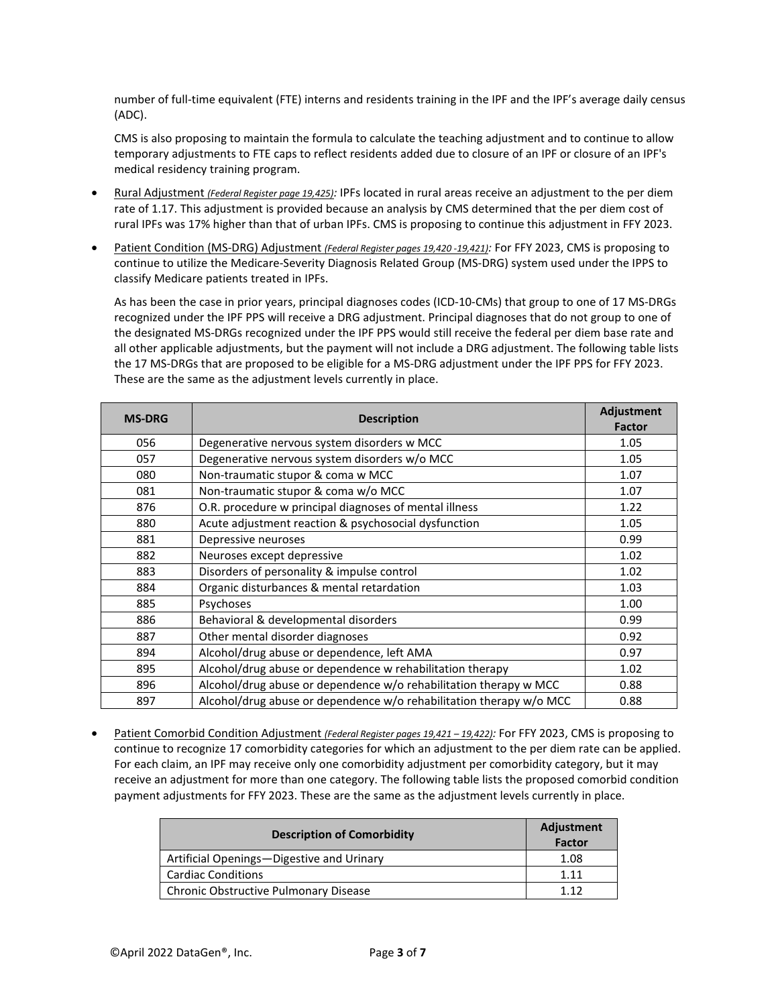number of full-time equivalent (FTE) interns and residents training in the IPF and the IPF's average daily census (ADC).

CMS is also proposing to maintain the formula to calculate the teaching adjustment and to continue to allow temporary adjustments to FTE caps to reflect residents added due to closure of an IPF or closure of an IPF's medical residency training program.

- Rural Adjustment *(Federal Register page 19,425):* IPFs located in rural areas receive an adjustment to the per diem rate of 1.17. This adjustment is provided because an analysis by CMS determined that the per diem cost of rural IPFs was 17% higher than that of urban IPFs. CMS is proposing to continue this adjustment in FFY 2023.
- Patient Condition (MS-DRG) Adjustment *(Federal Register pages 19,420 -19,421):* For FFY 2023, CMS is proposing to continue to utilize the Medicare-Severity Diagnosis Related Group (MS-DRG) system used under the IPPS to classify Medicare patients treated in IPFs.

As has been the case in prior years, principal diagnoses codes (ICD-10-CMs) that group to one of 17 MS-DRGs recognized under the IPF PPS will receive a DRG adjustment. Principal diagnoses that do not group to one of the designated MS-DRGs recognized under the IPF PPS would still receive the federal per diem base rate and all other applicable adjustments, but the payment will not include a DRG adjustment. The following table lists the 17 MS-DRGs that are proposed to be eligible for a MS-DRG adjustment under the IPF PPS for FFY 2023. These are the same as the adjustment levels currently in place.

| <b>MS-DRG</b> | <b>Description</b>                                                  |      |
|---------------|---------------------------------------------------------------------|------|
| 056           | Degenerative nervous system disorders w MCC                         | 1.05 |
| 057           | Degenerative nervous system disorders w/o MCC                       | 1.05 |
| 080           | Non-traumatic stupor & coma w MCC                                   | 1.07 |
| 081           | Non-traumatic stupor & coma w/o MCC                                 | 1.07 |
| 876           | O.R. procedure w principal diagnoses of mental illness              | 1.22 |
| 880           | Acute adjustment reaction & psychosocial dysfunction                | 1.05 |
| 881           | Depressive neuroses                                                 | 0.99 |
| 882           | Neuroses except depressive                                          | 1.02 |
| 883           | Disorders of personality & impulse control                          | 1.02 |
| 884           | Organic disturbances & mental retardation                           | 1.03 |
| 885           | Psychoses                                                           | 1.00 |
| 886           | Behavioral & developmental disorders                                | 0.99 |
| 887           | Other mental disorder diagnoses                                     | 0.92 |
| 894           | Alcohol/drug abuse or dependence, left AMA                          | 0.97 |
| 895           | Alcohol/drug abuse or dependence w rehabilitation therapy           | 1.02 |
| 896           | Alcohol/drug abuse or dependence w/o rehabilitation therapy w MCC   | 0.88 |
| 897           | Alcohol/drug abuse or dependence w/o rehabilitation therapy w/o MCC | 0.88 |

• Patient Comorbid Condition Adjustment *(Federal Register pages 19,421 – 19,422):* For FFY 2023, CMS is proposing to continue to recognize 17 comorbidity categories for which an adjustment to the per diem rate can be applied. For each claim, an IPF may receive only one comorbidity adjustment per comorbidity category, but it may receive an adjustment for more than one category. The following table lists the proposed comorbid condition payment adjustments for FFY 2023. These are the same as the adjustment levels currently in place.

| <b>Description of Comorbidity</b>         | Adjustment<br><b>Factor</b> |
|-------------------------------------------|-----------------------------|
| Artificial Openings-Digestive and Urinary | 1.08                        |
| <b>Cardiac Conditions</b>                 | 1 1 1                       |
| Chronic Obstructive Pulmonary Disease     | 112                         |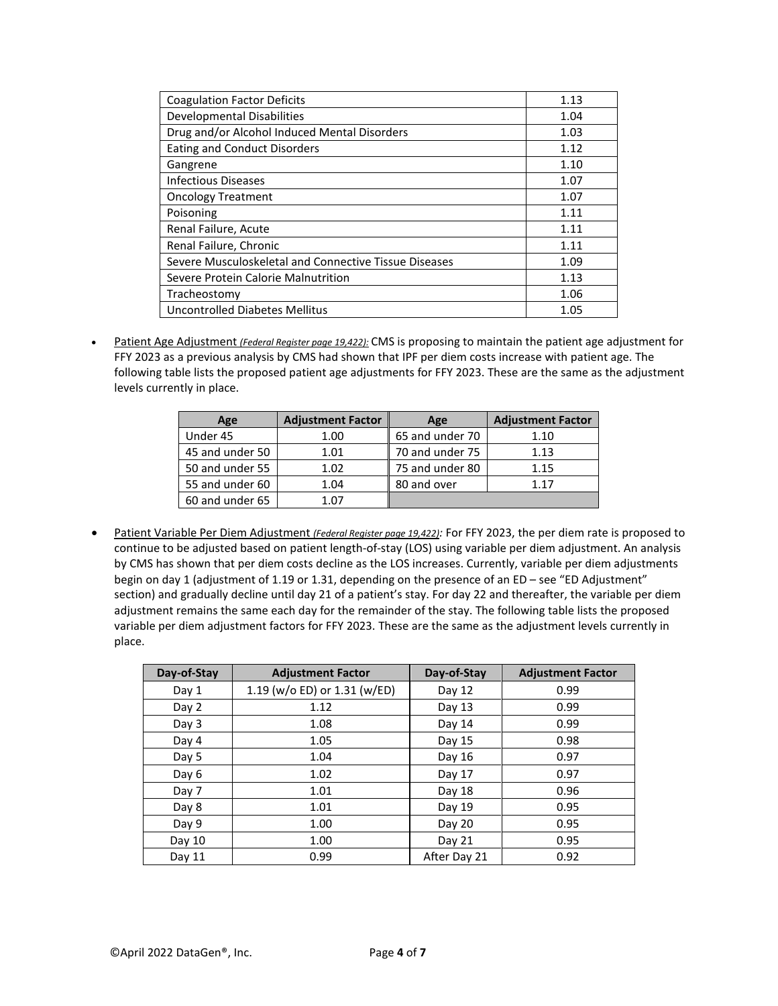| <b>Coagulation Factor Deficits</b>                    | 1.13 |
|-------------------------------------------------------|------|
| Developmental Disabilities                            | 1.04 |
| Drug and/or Alcohol Induced Mental Disorders          | 1.03 |
| <b>Eating and Conduct Disorders</b>                   | 1.12 |
| Gangrene                                              | 1.10 |
| <b>Infectious Diseases</b>                            | 1.07 |
| <b>Oncology Treatment</b>                             | 1.07 |
| Poisoning                                             | 1.11 |
| Renal Failure, Acute                                  | 1.11 |
| Renal Failure, Chronic                                | 1.11 |
| Severe Musculoskeletal and Connective Tissue Diseases | 1.09 |
| Severe Protein Calorie Malnutrition                   | 1.13 |
| Tracheostomy                                          | 1.06 |
| Uncontrolled Diabetes Mellitus                        | 1.05 |

• Patient Age Adjustment *(Federal Register page 19,422):* CMS is proposing to maintain the patient age adjustment for FFY 2023 as a previous analysis by CMS had shown that IPF per diem costs increase with patient age. The following table lists the proposed patient age adjustments for FFY 2023. These are the same as the adjustment levels currently in place.

| Age             | <b>Adjustment Factor</b> | Age             | <b>Adjustment Factor</b> |
|-----------------|--------------------------|-----------------|--------------------------|
| Under 45        | 1.00                     | 65 and under 70 | 1.10                     |
| 45 and under 50 | 1.01                     | 70 and under 75 | 1.13                     |
| 50 and under 55 | 1.02                     | 75 and under 80 | 1.15                     |
| 55 and under 60 | 1.04                     | 80 and over     | 1 1 7                    |
| 60 and under 65 | 1.07                     |                 |                          |

• Patient Variable Per Diem Adjustment *(Federal Register page 19,422):* For FFY 2023, the per diem rate is proposed to continue to be adjusted based on patient length-of-stay (LOS) using variable per diem adjustment. An analysis by CMS has shown that per diem costs decline as the LOS increases. Currently, variable per diem adjustments begin on day 1 (adjustment of 1.19 or 1.31, depending on the presence of an ED – see "ED Adjustment" section) and gradually decline until day 21 of a patient's stay. For day 22 and thereafter, the variable per diem adjustment remains the same each day for the remainder of the stay. The following table lists the proposed variable per diem adjustment factors for FFY 2023. These are the same as the adjustment levels currently in place.

| Day-of-Stay | <b>Adjustment Factor</b>     | Day-of-Stay  | <b>Adjustment Factor</b> |
|-------------|------------------------------|--------------|--------------------------|
| Day 1       | 1.19 (w/o ED) or 1.31 (w/ED) | Day 12       | 0.99                     |
| Day 2       | 1.12                         | Day 13       | 0.99                     |
| Day 3       | 1.08                         | Day 14       | 0.99                     |
| Day 4       | 1.05                         | Day 15       | 0.98                     |
| Day 5       | 1.04                         | Day $16$     | 0.97                     |
| Day 6       | 1.02                         | Day 17       | 0.97                     |
| Day 7       | 1.01                         | Day 18       | 0.96                     |
| Day 8       | 1.01                         | Day 19       | 0.95                     |
| Day 9       | 1.00                         | Day 20       | 0.95                     |
| Day $10$    | 1.00                         | Day 21       | 0.95                     |
| Day 11      | 0.99                         | After Day 21 | 0.92                     |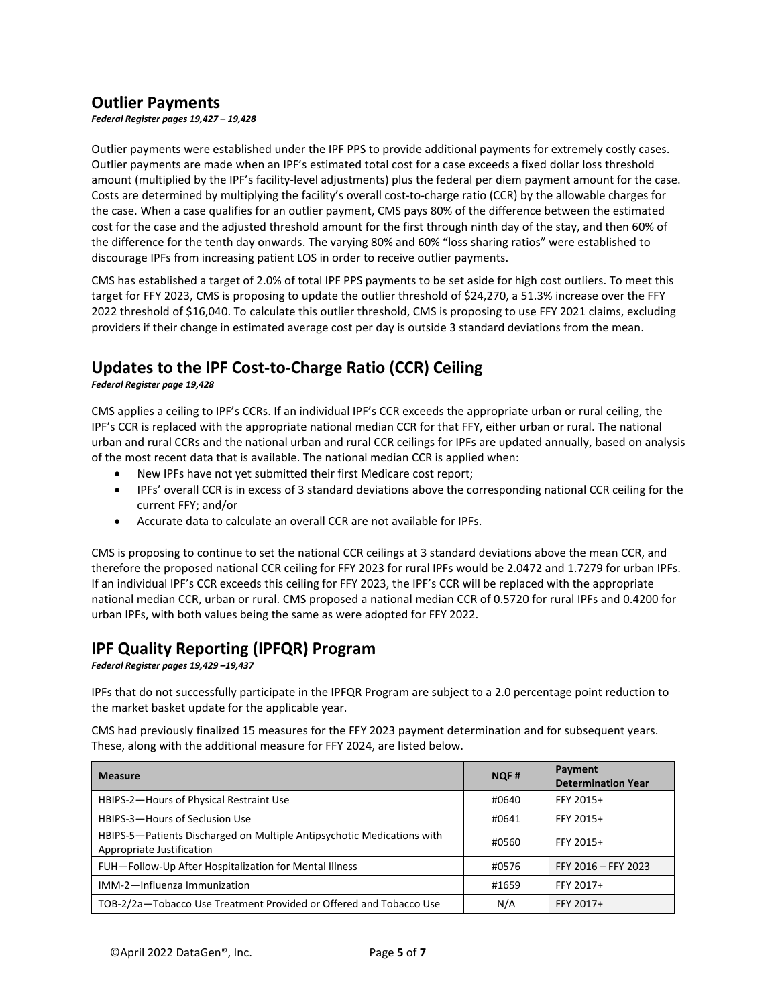# **Outlier Payments**

*Federal Register pages 19,427 – 19,428* 

Outlier payments were established under the IPF PPS to provide additional payments for extremely costly cases. Outlier payments are made when an IPF's estimated total cost for a case exceeds a fixed dollar loss threshold amount (multiplied by the IPF's facility-level adjustments) plus the federal per diem payment amount for the case. Costs are determined by multiplying the facility's overall cost-to-charge ratio (CCR) by the allowable charges for the case. When a case qualifies for an outlier payment, CMS pays 80% of the difference between the estimated cost for the case and the adjusted threshold amount for the first through ninth day of the stay, and then 60% of the difference for the tenth day onwards. The varying 80% and 60% "loss sharing ratios" were established to discourage IPFs from increasing patient LOS in order to receive outlier payments.

CMS has established a target of 2.0% of total IPF PPS payments to be set aside for high cost outliers. To meet this target for FFY 2023, CMS is proposing to update the outlier threshold of \$24,270, a 51.3% increase over the FFY 2022 threshold of \$16,040. To calculate this outlier threshold, CMS is proposing to use FFY 2021 claims, excluding providers if their change in estimated average cost per day is outside 3 standard deviations from the mean.

## **Updates to the IPF Cost-to-Charge Ratio (CCR) Ceiling**

*Federal Register page 19,428* 

CMS applies a ceiling to IPF's CCRs. If an individual IPF's CCR exceeds the appropriate urban or rural ceiling, the IPF's CCR is replaced with the appropriate national median CCR for that FFY, either urban or rural. The national urban and rural CCRs and the national urban and rural CCR ceilings for IPFs are updated annually, based on analysis of the most recent data that is available. The national median CCR is applied when:

- New IPFs have not yet submitted their first Medicare cost report;
- IPFs' overall CCR is in excess of 3 standard deviations above the corresponding national CCR ceiling for the current FFY; and/or
- Accurate data to calculate an overall CCR are not available for IPFs.

CMS is proposing to continue to set the national CCR ceilings at 3 standard deviations above the mean CCR, and therefore the proposed national CCR ceiling for FFY 2023 for rural IPFs would be 2.0472 and 1.7279 for urban IPFs. If an individual IPF's CCR exceeds this ceiling for FFY 2023, the IPF's CCR will be replaced with the appropriate national median CCR, urban or rural. CMS proposed a national median CCR of 0.5720 for rural IPFs and 0.4200 for urban IPFs, with both values being the same as were adopted for FFY 2022.

### **IPF Quality Reporting (IPFQR) Program**

*Federal Register pages 19,429 –19,437*

IPFs that do not successfully participate in the IPFQR Program are subject to a 2.0 percentage point reduction to the market basket update for the applicable year.

CMS had previously finalized 15 measures for the FFY 2023 payment determination and for subsequent years. These, along with the additional measure for FFY 2024, are listed below.

| <b>Measure</b>                                                                                      | <b>NQF#</b> | Payment<br><b>Determination Year</b> |
|-----------------------------------------------------------------------------------------------------|-------------|--------------------------------------|
| HBIPS-2-Hours of Physical Restraint Use                                                             | #0640       | FFY 2015+                            |
| HBIPS-3-Hours of Seclusion Use                                                                      | #0641       | FFY 2015+                            |
| HBIPS-5-Patients Discharged on Multiple Antipsychotic Medications with<br>Appropriate Justification | #0560       | FFY 2015+                            |
| FUH-Follow-Up After Hospitalization for Mental Illness                                              | #0576       | FFY 2016 - FFY 2023                  |
| IMM-2-Influenza Immunization                                                                        | #1659       | FFY 2017+                            |
| TOB-2/2a-Tobacco Use Treatment Provided or Offered and Tobacco Use                                  | N/A         | FFY 2017+                            |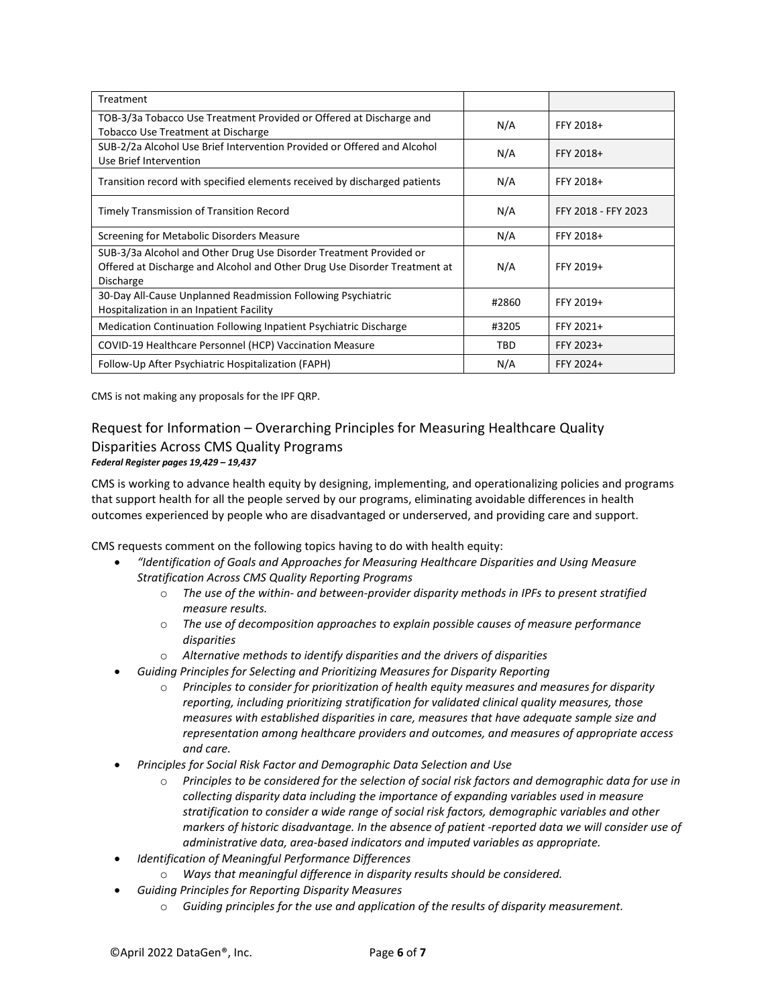| Treatment                                                                                                                                                           |            |                     |
|---------------------------------------------------------------------------------------------------------------------------------------------------------------------|------------|---------------------|
| TOB-3/3a Tobacco Use Treatment Provided or Offered at Discharge and<br>Tobacco Use Treatment at Discharge                                                           | N/A        | FFY 2018+           |
| SUB-2/2a Alcohol Use Brief Intervention Provided or Offered and Alcohol<br>Use Brief Intervention                                                                   | N/A        | FFY 2018+           |
| Transition record with specified elements received by discharged patients                                                                                           | N/A        | FFY 2018+           |
| Timely Transmission of Transition Record                                                                                                                            | N/A        | FFY 2018 - FFY 2023 |
| Screening for Metabolic Disorders Measure                                                                                                                           | N/A        | FFY 2018+           |
| SUB-3/3a Alcohol and Other Drug Use Disorder Treatment Provided or<br>Offered at Discharge and Alcohol and Other Drug Use Disorder Treatment at<br><b>Discharge</b> | N/A        | FFY 2019+           |
| 30-Day All-Cause Unplanned Readmission Following Psychiatric<br>Hospitalization in an Inpatient Facility                                                            | #2860      | FFY 2019+           |
| Medication Continuation Following Inpatient Psychiatric Discharge                                                                                                   | #3205      | FFY 2021+           |
| COVID-19 Healthcare Personnel (HCP) Vaccination Measure                                                                                                             | <b>TBD</b> | FFY 2023+           |
| Follow-Up After Psychiatric Hospitalization (FAPH)                                                                                                                  | N/A        | FFY 2024+           |

CMS is not making any proposals for the IPF QRP.

#### Request for Information – Overarching Principles for Measuring Healthcare Quality Disparities Across CMS Quality Programs *Federal Register pages 19,429 – 19,437*

CMS is working to advance health equity by designing, implementing, and operationalizing policies and programs that support health for all the people served by our programs, eliminating avoidable differences in health outcomes experienced by people who are disadvantaged or underserved, and providing care and support.

CMS requests comment on the following topics having to do with health equity:

- *"Identification of Goals and Approaches for Measuring Healthcare Disparities and Using Measure Stratification Across CMS Quality Reporting Programs*
	- o *The use of the within- and between-provider disparity methods in IPFs to present stratified measure results.*
	- o *The use of decomposition approaches to explain possible causes of measure performance disparities*
	- o *Alternative methods to identify disparities and the drivers of disparities*
- *Guiding Principles for Selecting and Prioritizing Measures for Disparity Reporting*
	- o *Principles to consider for prioritization of health equity measures and measures for disparity reporting, including prioritizing stratification for validated clinical quality measures, those measures with established disparities in care, measures that have adequate sample size and representation among healthcare providers and outcomes, and measures of appropriate access and care.*
- *Principles for Social Risk Factor and Demographic Data Selection and Use*
	- o *Principles to be considered for the selection of social risk factors and demographic data for use in collecting disparity data including the importance of expanding variables used in measure stratification to consider a wide range of social risk factors, demographic variables and other markers of historic disadvantage. In the absence of patient -reported data we will consider use of administrative data, area-based indicators and imputed variables as appropriate.*
- *Identification of Meaningful Performance Differences*
	- o *Ways that meaningful difference in disparity results should be considered.*
- *Guiding Principles for Reporting Disparity Measures*
	- o *Guiding principles for the use and application of the results of disparity measurement.*